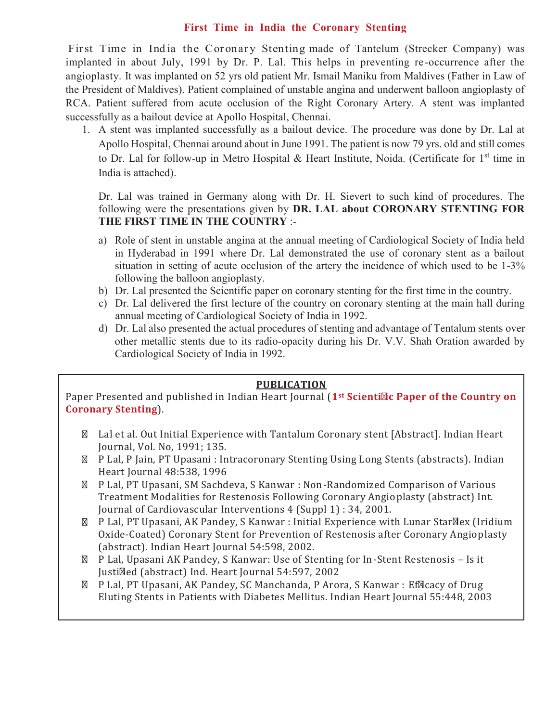# **First Time in India the Coronary Stenting**

First Time in India the Coronary Stenting made of Tantelum (Strecker Company) was implanted in about July, 1991 by Dr. P. Lal. This helps in preventing re -occurrence after the angioplasty. It was implanted on 52 yrs old patient Mr. Ismail Maniku from Maldives (Father in Law of the President of Maldives). Patient complained of unstable angina and underwent balloon angioplasty of RCA. Patient suffered from acute occlusion of the Right Coronary Artery. A stent was implanted successfully as a bailout device at Apollo Hospital, Chennai.

1. A stent was implanted successfully as a bailout device. The procedure was done by Dr. Lal at Apollo Hospital, Chennai around about in June 1991. The patient is now 79 yrs. old and still comes to Dr. Lal for follow-up in Metro Hospital & Heart Institute, Noida. (Certificate for  $1<sup>st</sup>$  time in India is attached).

### Dr. Lal was trained in Germany along with Dr. H. Sievert to such kind of procedures. The following were the presentations given by **DR. LAL about CORONARY STENTING FOR THE FIRST TIME IN THE COUNTRY** :-

- a) Role of stent in unstable angina at the annual meeting of Cardiological Society of India held in Hyderabad in 1991 where Dr. Lal demonstrated the use of coronary stent as a bailout situation in setting of acute occlusion of the artery the incidence of which used to be 1-3% following the balloon angioplasty.
- b) Dr. Lal presented the Scientific paper on coronary stenting for the first time in the country.
- c) Dr. Lal delivered the first lecture of the country on coronary stenting at the main hall during annual meeting of Cardiological Society of India in 1992.
- d) Dr. Lal also presented the actual procedures of stenting and advantage of Tentalum stents over other metallic stents due to its radio-opacity during his Dr. V.V. Shah Oration awarded by Cardiological Society of India in 1992.

# **PUBLICATION**

Paper Presented and published in Indian Heart Journal (**1st Scienti ic Paper of the Country on Coronary Stenting**).

- Lal et al. Out Initial Experience with Tantalum Coronary stent [Abstract]. Indian Heart Journal, Vol. No, 1991; 135.
- P Lal, P Jain, PT Upasani : Intracoronary Stenting Using Long Stents (abstracts). Indian Heart Journal 48:538, 1996
- P Lal, PT Upasani, SM Sachdeva, S Kanwar : Non-Randomized Comparison of Various Treatment Modalities for Restenosis Following Coronary Angioplasty (abstract) Int. Journal of Cardiovascular Interventions 4 (Suppl 1) : 34, 2001.
- P Lal, PT Upasani, AK Pandey, S Kanwar : Initial Experience with Lunar Star lex (Iridium Oxide-Coated) Coronary Stent for Prevention of Restenosis after Coronary Angioplasty (abstract). Indian Heart Journal 54:598, 2002.
- P Lal, Upasani AK Pandey, S Kanwar: Use of Stenting for In-Stent Restenosis Is it Justi ied (abstract) Ind. Heart Journal 54:597, 2002
- P Lal, PT Upasani, AK Pandey, SC Manchanda, P Arora, S Kanwar : Ef icacy of Drug Eluting Stents in Patients with Diabetes Mellitus. Indian Heart Journal 55:448, 2003